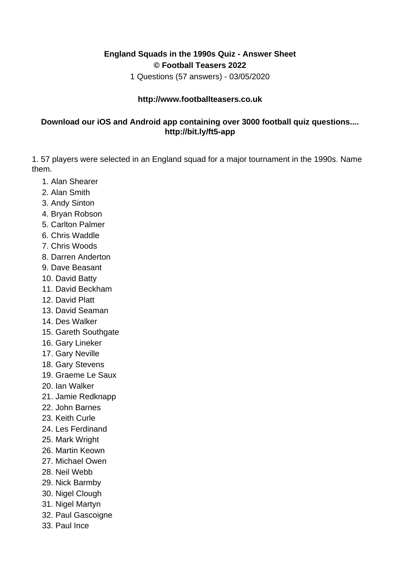## **England Squads in the 1990s Quiz - Answer Sheet © Football Teasers 2022**

1 Questions (57 answers) - 03/05/2020

## **http://www.footballteasers.co.uk**

## **Download our iOS and Android app containing over 3000 football quiz questions.... http://bit.ly/ft5-app**

1. 57 players were selected in an England squad for a major tournament in the 1990s. Name them.

- 1. Alan Shearer
- 2. Alan Smith
- 3. Andy Sinton
- 4. Bryan Robson
- 5. Carlton Palmer
- 6. Chris Waddle
- 7. Chris Woods
- 8. Darren Anderton
- 9. Dave Beasant
- 10. David Batty
- 11. David Beckham
- 12. David Platt
- 13. David Seaman
- 14. Des Walker
- 15. Gareth Southgate
- 16. Gary Lineker
- 17. Gary Neville
- 18. Gary Stevens
- 19. Graeme Le Saux
- 20. Ian Walker
- 21. Jamie Redknapp
- 22. John Barnes
- 23. Keith Curle
- 24. Les Ferdinand
- 25. Mark Wright
- 26. Martin Keown
- 27. Michael Owen
- 28. Neil Webb
- 29. Nick Barmby
- 30. Nigel Clough
- 31. Nigel Martyn
- 32. Paul Gascoigne
- 33. Paul Ince